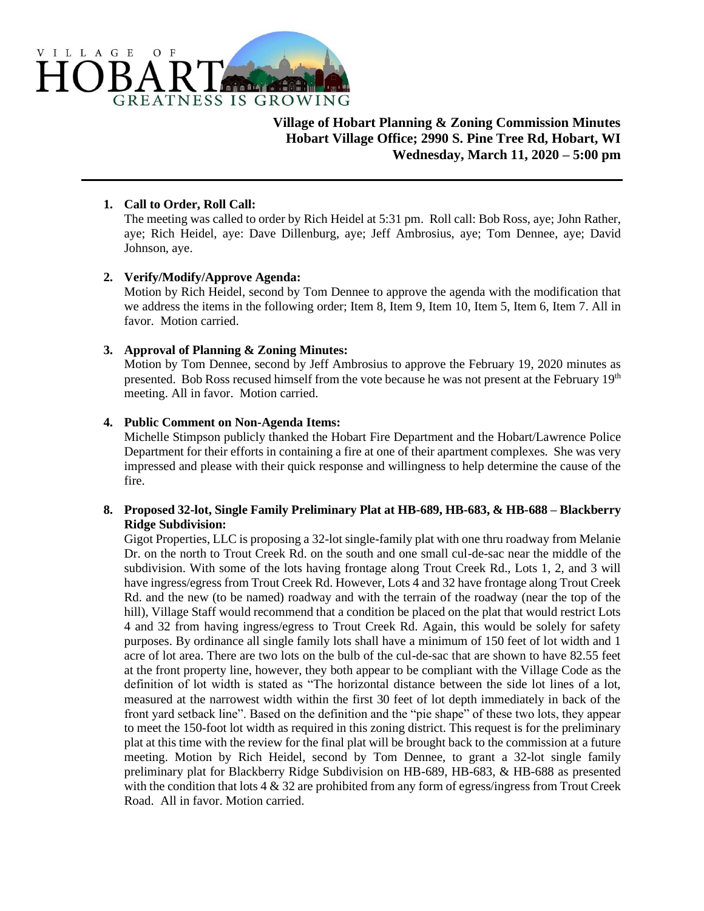

**Village of Hobart Planning & Zoning Commission Minutes Hobart Village Office; 2990 S. Pine Tree Rd, Hobart, WI Wednesday, March 11, 2020 – 5:00 pm**

## **1. Call to Order, Roll Call:**

The meeting was called to order by Rich Heidel at 5:31 pm. Roll call: Bob Ross, aye; John Rather, aye; Rich Heidel, aye: Dave Dillenburg, aye; Jeff Ambrosius, aye; Tom Dennee, aye; David Johnson, aye.

# **2. Verify/Modify/Approve Agenda:**

Motion by Rich Heidel, second by Tom Dennee to approve the agenda with the modification that we address the items in the following order; Item 8, Item 9, Item 10, Item 5, Item 6, Item 7. All in favor. Motion carried.

# **3. Approval of Planning & Zoning Minutes:**

Motion by Tom Dennee, second by Jeff Ambrosius to approve the February 19, 2020 minutes as presented. Bob Ross recused himself from the vote because he was not present at the February 19<sup>th</sup> meeting. All in favor. Motion carried.

# **4. Public Comment on Non-Agenda Items:**

Michelle Stimpson publicly thanked the Hobart Fire Department and the Hobart/Lawrence Police Department for their efforts in containing a fire at one of their apartment complexes. She was very impressed and please with their quick response and willingness to help determine the cause of the fire.

## **8. Proposed 32-lot, Single Family Preliminary Plat at HB-689, HB-683, & HB-688 – Blackberry Ridge Subdivision:**

Gigot Properties, LLC is proposing a 32-lot single-family plat with one thru roadway from Melanie Dr. on the north to Trout Creek Rd. on the south and one small cul-de-sac near the middle of the subdivision. With some of the lots having frontage along Trout Creek Rd., Lots 1, 2, and 3 will have ingress/egress from Trout Creek Rd. However, Lots 4 and 32 have frontage along Trout Creek Rd. and the new (to be named) roadway and with the terrain of the roadway (near the top of the hill), Village Staff would recommend that a condition be placed on the plat that would restrict Lots 4 and 32 from having ingress/egress to Trout Creek Rd. Again, this would be solely for safety purposes. By ordinance all single family lots shall have a minimum of 150 feet of lot width and 1 acre of lot area. There are two lots on the bulb of the cul-de-sac that are shown to have 82.55 feet at the front property line, however, they both appear to be compliant with the Village Code as the definition of lot width is stated as "The horizontal distance between the side lot lines of a lot, measured at the narrowest width within the first 30 feet of lot depth immediately in back of the front yard setback line". Based on the definition and the "pie shape" of these two lots, they appear to meet the 150-foot lot width as required in this zoning district. This request is for the preliminary plat at this time with the review for the final plat will be brought back to the commission at a future meeting. Motion by Rich Heidel, second by Tom Dennee, to grant a 32-lot single family preliminary plat for Blackberry Ridge Subdivision on HB-689, HB-683, & HB-688 as presented with the condition that lots  $4 \& 32$  are prohibited from any form of egress/ingress from Trout Creek Road. All in favor. Motion carried.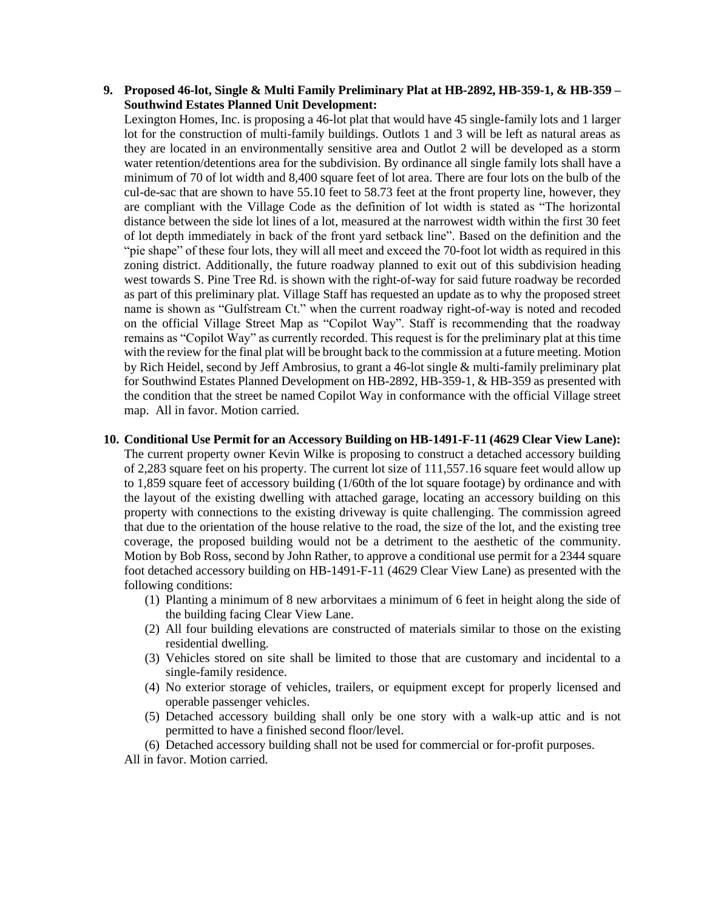### **9. Proposed 46-lot, Single & Multi Family Preliminary Plat at HB-2892, HB-359-1, & HB-359 – Southwind Estates Planned Unit Development:**

Lexington Homes, Inc. is proposing a 46-lot plat that would have 45 single-family lots and 1 larger lot for the construction of multi-family buildings. Outlots 1 and 3 will be left as natural areas as they are located in an environmentally sensitive area and Outlot 2 will be developed as a storm water retention/detentions area for the subdivision. By ordinance all single family lots shall have a minimum of 70 of lot width and 8,400 square feet of lot area. There are four lots on the bulb of the cul-de-sac that are shown to have 55.10 feet to 58.73 feet at the front property line, however, they are compliant with the Village Code as the definition of lot width is stated as "The horizontal distance between the side lot lines of a lot, measured at the narrowest width within the first 30 feet of lot depth immediately in back of the front yard setback line". Based on the definition and the "pie shape" of these four lots, they will all meet and exceed the 70-foot lot width as required in this zoning district. Additionally, the future roadway planned to exit out of this subdivision heading west towards S. Pine Tree Rd. is shown with the right-of-way for said future roadway be recorded as part of this preliminary plat. Village Staff has requested an update as to why the proposed street name is shown as "Gulfstream Ct." when the current roadway right-of-way is noted and recoded on the official Village Street Map as "Copilot Way". Staff is recommending that the roadway remains as "Copilot Way" as currently recorded. This request is for the preliminary plat at this time with the review for the final plat will be brought back to the commission at a future meeting. Motion by Rich Heidel, second by Jeff Ambrosius, to grant a 46-lot single & multi-family preliminary plat for Southwind Estates Planned Development on HB-2892, HB-359-1, & HB-359 as presented with the condition that the street be named Copilot Way in conformance with the official Village street map. All in favor. Motion carried.

#### **10. Conditional Use Permit for an Accessory Building on HB-1491-F-11 (4629 Clear View Lane):**

The current property owner Kevin Wilke is proposing to construct a detached accessory building of 2,283 square feet on his property. The current lot size of 111,557.16 square feet would allow up to 1,859 square feet of accessory building (1/60th of the lot square footage) by ordinance and with the layout of the existing dwelling with attached garage, locating an accessory building on this property with connections to the existing driveway is quite challenging. The commission agreed that due to the orientation of the house relative to the road, the size of the lot, and the existing tree coverage, the proposed building would not be a detriment to the aesthetic of the community. Motion by Bob Ross, second by John Rather, to approve a conditional use permit for a 2344 square foot detached accessory building on HB-1491-F-11 (4629 Clear View Lane) as presented with the following conditions:

- (1) Planting a minimum of 8 new arborvitaes a minimum of 6 feet in height along the side of the building facing Clear View Lane.
- (2) All four building elevations are constructed of materials similar to those on the existing residential dwelling.
- (3) Vehicles stored on site shall be limited to those that are customary and incidental to a single-family residence.
- (4) No exterior storage of vehicles, trailers, or equipment except for properly licensed and operable passenger vehicles.
- (5) Detached accessory building shall only be one story with a walk-up attic and is not permitted to have a finished second floor/level.

(6) Detached accessory building shall not be used for commercial or for-profit purposes.

All in favor. Motion carried.